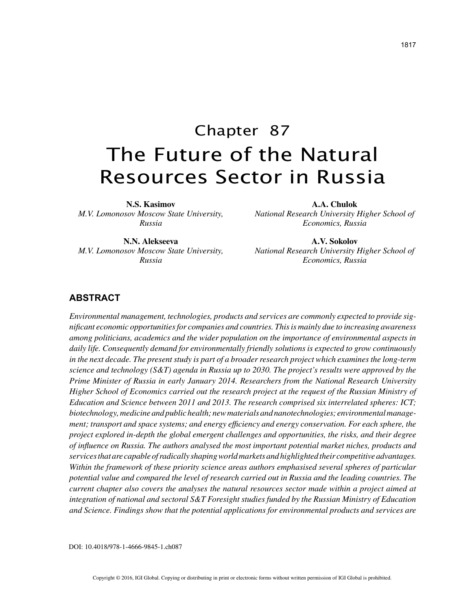# Chapter 87 The Future of the Natural Resources Sector in Russia

**N.S. Kasimov** *M.V. Lomonosov Moscow State University, Russia*

**A.A. Chulok**

*National Research University Higher School of Economics, Russia*

**N.N. Alekseeva** *M.V. Lomonosov Moscow State University, Russia*

**A.V. Sokolov** *National Research University Higher School of Economics, Russia*

## **ABSTRACT**

*Environmental management, technologies, products and services are commonly expected to provide significant economic opportunities for companies and countries. This is mainly due to increasing awareness among politicians, academics and the wider population on the importance of environmental aspects in daily life. Consequently demand for environmentally friendly solutions is expected to grow continuously in the next decade. The present study is part of a broader research project which examines the long-term science and technology (S&T) agenda in Russia up to 2030. The project's results were approved by the Prime Minister of Russia in early January 2014. Researchers from the National Research University Higher School of Economics carried out the research project at the request of the Russian Ministry of Education and Science between 2011 and 2013. The research comprised six interrelated spheres: ICT; biotechnology, medicine and public health; new materials and nanotechnologies; environmental management; transport and space systems; and energy efficiency and energy conservation. For each sphere, the project explored in-depth the global emergent challenges and opportunities, the risks, and their degree of influence on Russia. The authors analysed the most important potential market niches, products and services that are capable of radically shaping world markets and highlighted their competitive advantages. Within the framework of these priority science areas authors emphasised several spheres of particular potential value and compared the level of research carried out in Russia and the leading countries. The current chapter also covers the analyses the natural resources sector made within a project aimed at integration of national and sectoral S&T Foresight studies funded by the Russian Ministry of Education and Science. Findings show that the potential applications for environmental products and services are*

DOI: 10.4018/978-1-4666-9845-1.ch087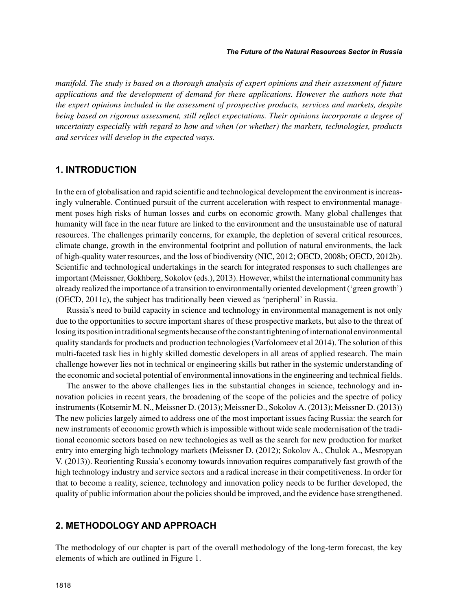*manifold. The study is based on a thorough analysis of expert opinions and their assessment of future applications and the development of demand for these applications. However the authors note that the expert opinions included in the assessment of prospective products, services and markets, despite being based on rigorous assessment, still reflect expectations. Their opinions incorporate a degree of uncertainty especially with regard to how and when (or whether) the markets, technologies, products and services will develop in the expected ways.*

## **1. INTRODUCTION**

In the era of globalisation and rapid scientific and technological development the environment is increasingly vulnerable. Continued pursuit of the current acceleration with respect to environmental management poses high risks of human losses and curbs on economic growth. Many global challenges that humanity will face in the near future are linked to the environment and the unsustainable use of natural resources. The challenges primarily concerns, for example, the depletion of several critical resources, climate change, growth in the environmental footprint and pollution of natural environments, the lack of high-quality water resources, and the loss of biodiversity (NIC, 2012; OECD, 2008b; OECD, 2012b). Scientific and technological undertakings in the search for integrated responses to such challenges are important (Meissner, Gokhberg, Sokolov (eds.), 2013). However, whilst the international community has already realized the importance of a transition to environmentally oriented development ('green growth') (OECD, 2011c), the subject has traditionally been viewed as 'peripheral' in Russia.

Russia's need to build capacity in science and technology in environmental management is not only due to the opportunities to secure important shares of these prospective markets, but also to the threat of losing its position in traditional segments because of the constant tightening of international environmental quality standards for products and production technologies (Varfolomeev et al 2014). The solution of this multi-faceted task lies in highly skilled domestic developers in all areas of applied research. The main challenge however lies not in technical or engineering skills but rather in the systemic understanding of the economic and societal potential of environmental innovations in the engineering and technical fields.

The answer to the above challenges lies in the substantial changes in science, technology and innovation policies in recent years, the broadening of the scope of the policies and the spectre of policy instruments (Kotsemir M. N., Meissner D. (2013); Meissner D., Sokolov A. (2013); Meissner D. (2013)) The new policies largely aimed to address one of the most important issues facing Russia: the search for new instruments of economic growth which is impossible without wide scale modernisation of the traditional economic sectors based on new technologies as well as the search for new production for market entry into emerging high technology markets (Meissner D. (2012); Sokolov A., Chulok A., Mesropyan V. (2013)). Reorienting Russia's economy towards innovation requires comparatively fast growth of the high technology industry and service sectors and a radical increase in their competitiveness. In order for that to become a reality, science, technology and innovation policy needs to be further developed, the quality of public information about the policies should be improved, and the evidence base strengthened.

## **2. METHODOLOGY AND APPROACH**

The methodology of our chapter is part of the overall methodology of the long-term forecast, the key elements of which are outlined in Figure 1.